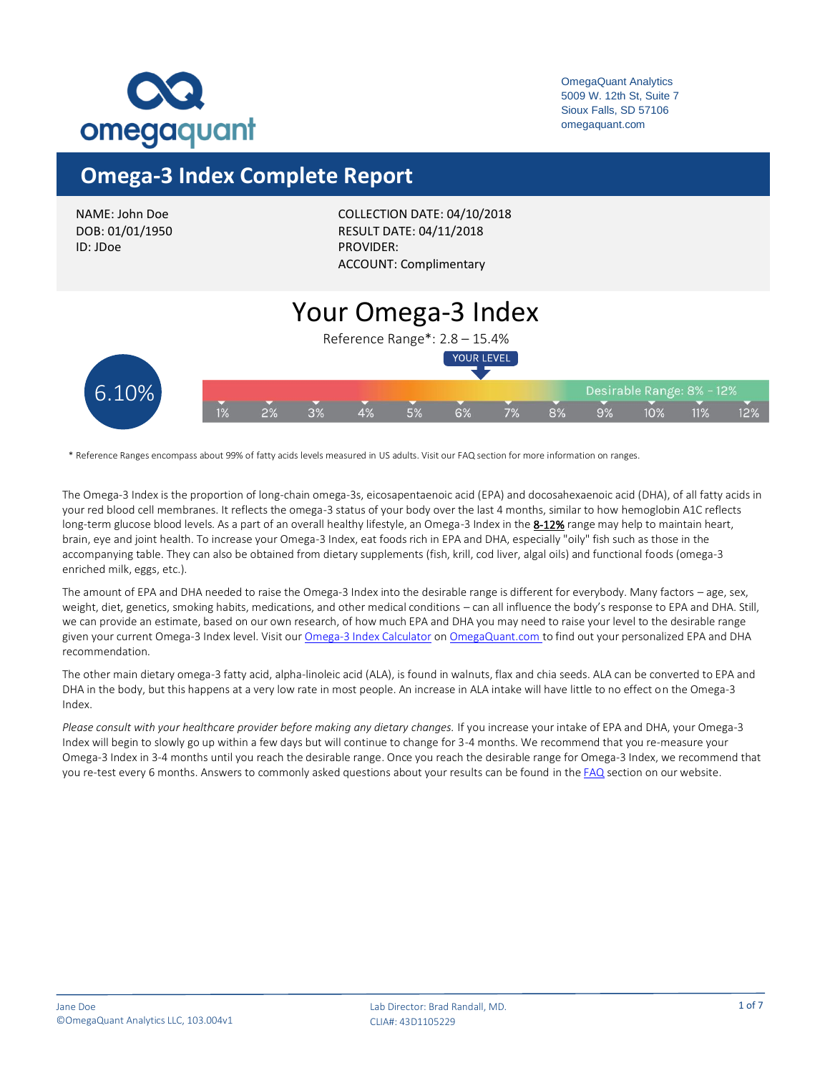

## **Omega-3 Index Complete Report**

| NAME: John Doe  |
|-----------------|
| DOB: 01/01/1950 |
| ID: JDoe        |

COLLECTION DATE: 04/10/2018 RESULT DATE: 04/11/2018 PROVIDER: ACCOUNT: Complimentary

#### Your Omega-3 Index Reference Range\*: 2.8 – 15.4% YOUR LEVEL 6.10%Desirable Range: 8% - 12%  $5%$  $7%$  $8%$  $9%$ 6% 10% 11% 12%

\* Reference Ranges encompass about 99% of fatty acids levels measured in US adults. Visit our FAQ section for more information on ranges.

The Omega-3 Index is the proportion of long-chain omega-3s, eicosapentaenoic acid (EPA) and docosahexaenoic acid (DHA), of all fatty acids in your red blood cell membranes. It reflects the omega-3 status of your body over the last 4 months, similar to how hemoglobin A1C reflects long-term glucose blood levels. As a part of an overall healthy lifestyle, an Omega-3 Index in the 8-12% range may help to maintain heart, brain, eye and joint health. To increase your Omega-3 Index, eat foods rich in EPA and DHA, especially "oily" fish such as those in the accompanying table. They can also be obtained from dietary supplements (fish, krill, cod liver, algal oils) and functional foods (omega-3 enriched milk, eggs, etc.).

The amount of EPA and DHA needed to raise the Omega-3 Index into the desirable range is different for everybody. Many factors – age, sex, weight, diet, genetics, smoking habits, medications, and other medical conditions – can all influence the body's response to EPA and DHA. Still, we can provide an estimate, based on our own research, of how much EPA and DHA you may need to raise your level to the desirable range given your current Omega-3 Index level. Visit ou[r Omega-3 Index Calculator](https://omegaquant.com/omega-3-calculator/) o[n OmegaQuant.com](https://omegaquant.com/) to find out your personalized EPA and DHA recommendation.

The other main dietary omega-3 fatty acid, alpha-linoleic acid (ALA), is found in walnuts, flax and chia seeds. ALA can be converted to EPA and DHA in the body, but this happens at a very low rate in most people. An increase in ALA intake will have little to no effect on the Omega-3 Index.

*Please consult with your healthcare provider before making any dietary changes.* If you increase your intake of EPA and DHA, your Omega-3 Index will begin to slowly go up within a few days but will continue to change for 3-4 months. We recommend that you re-measure your Omega-3 Index in 3-4 months until you reach the desirable range. Once you reach the desirable range for Omega-3 Index, we recommend that you re-test every 6 months. Answers to commonly asked questions about your results can be found in th[e FAQ](https://omegaquant.com/faq/) section on our website.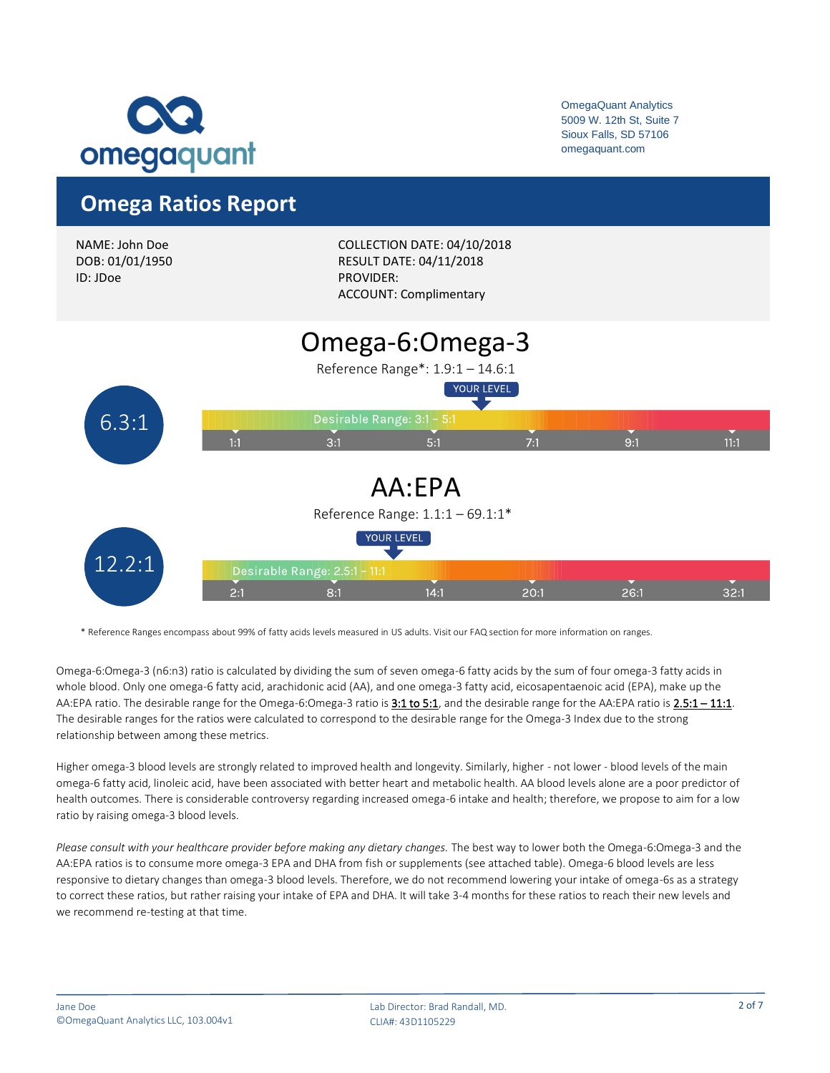

### **Omega Ratios Report**



\* Reference Ranges encompass about 99% of fatty acids levels measured in US adults. Visit our FAQ section for more information on ranges.

Omega-6:Omega-3 (n6:n3) ratio is calculated by dividing the sum of seven omega-6 fatty acids by the sum of four omega-3 fatty acids in whole blood. Only one omega-6 fatty acid, arachidonic acid (AA), and one omega-3 fatty acid, eicosapentaenoic acid (EPA), make up the AA:EPA ratio. The desirable range for the Omega-6:Omega-3 ratio is 3:1 to 5:1, and the desirable range for the AA:EPA ratio is 2.5:1 - 11:1. The desirable ranges for the ratios were calculated to correspond to the desirable range for the Omega-3 Index due to the strong relationship between among these metrics.

Higher omega-3 blood levels are strongly related to improved health and longevity. Similarly, higher - not lower - blood levels of the main omega-6 fatty acid, linoleic acid, have been associated with better heart and metabolic health. AA blood levels alone are a poor predictor of health outcomes. There is considerable controversy regarding increased omega-6 intake and health; therefore, we propose to aim for a low ratio by raising omega-3 blood levels.

*Please consult with your healthcare provider before making any dietary changes.* The best way to lower both the Omega-6:Omega-3 and the AA:EPA ratios is to consume more omega-3 EPA and DHA from fish or supplements (see attached table). Omega-6 blood levels are less responsive to dietary changes than omega-3 blood levels. Therefore, we do not recommend lowering your intake of omega-6s as a strategy to correct these ratios, but rather raising your intake of EPA and DHA. It will take 3-4 months for these ratios to reach their new levels and we recommend re-testing at that time.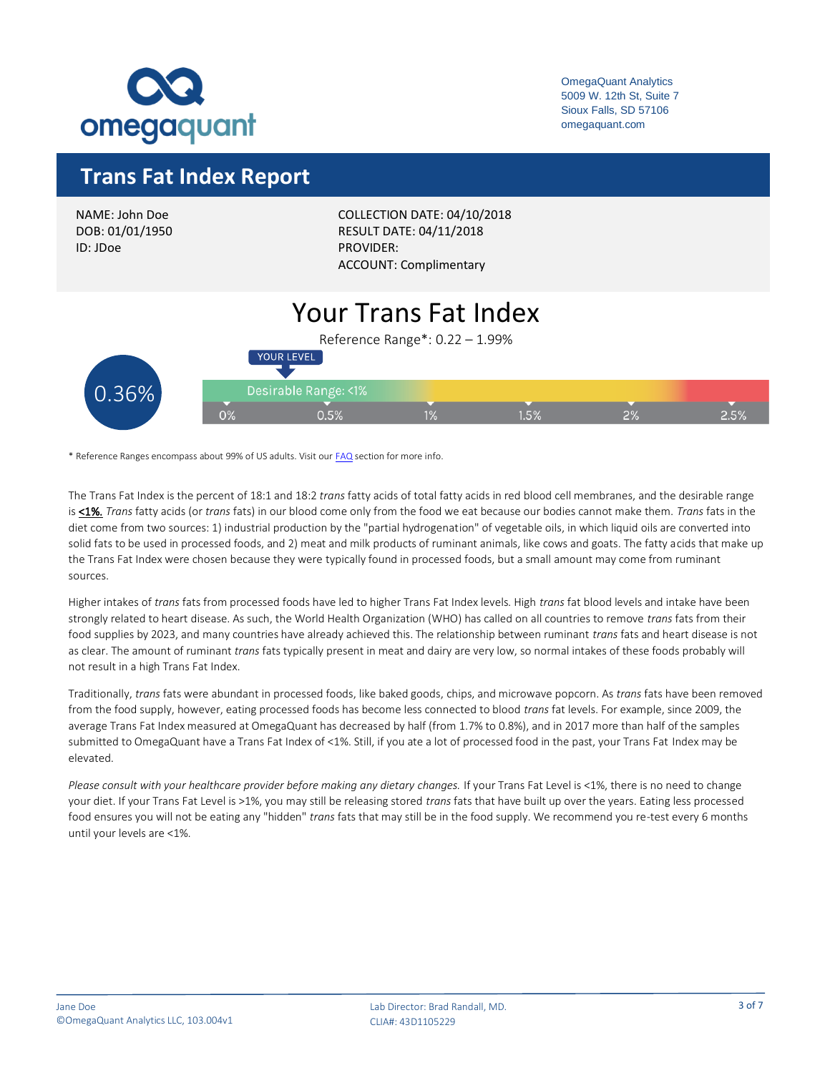

### **Trans Fat Index Report**

NAME: John Doe DOB: 01/01/1950 ID: JDoe

COLLECTION DATE: 04/10/2018 RESULT DATE: 04/11/2018 PROVIDER: ACCOUNT: Complimentary

#### Your Trans Fat Index Reference Range\*: 0.22 – 1.99% YOUR LEVEL Desirable Range: <1% 0.36% $1.5%$  $1\%$  $2^{\circ}$  $0.5%$  $O%$

\* Reference Ranges encompass about 99% of US adults. Visit ou[r FAQ](https://omegaquant.com/faq/) section for more info.

The Trans Fat Index is the percent of 18:1 and 18:2 *trans* fatty acids of total fatty acids in red blood cell membranes, and the desirable range is <1%. *Trans* fatty acids (or *trans* fats) in our blood come only from the food we eat because our bodies cannot make them. *Trans* fats in the diet come from two sources: 1) industrial production by the "partial hydrogenation" of vegetable oils, in which liquid oils are converted into solid fats to be used in processed foods, and 2) meat and milk products of ruminant animals, like cows and goats. The fatty acids that make up the Trans Fat Index were chosen because they were typically found in processed foods, but a small amount may come from ruminant sources.

Higher intakes of *trans* fats from processed foods have led to higher Trans Fat Index levels. High *trans* fat blood levels and intake have been strongly related to heart disease. As such, the World Health Organization (WHO) has called on all countries to remove *trans* fats from their food supplies by 2023, and many countries have already achieved this. The relationship between ruminant *trans* fats and heart disease is not as clear. The amount of ruminant *trans* fats typically present in meat and dairy are very low, so normal intakes of these foods probably will not result in a high Trans Fat Index.

Traditionally, *trans* fats were abundant in processed foods, like baked goods, chips, and microwave popcorn. As *trans* fats have been removed from the food supply, however, eating processed foods has become less connected to blood *trans* fat levels. For example, since 2009, the average Trans Fat Index measured at OmegaQuant has decreased by half (from 1.7% to 0.8%), and in 2017 more than half of the samples submitted to OmegaQuant have a Trans Fat Index of <1%. Still, if you ate a lot of processed food in the past, your Trans Fat Index may be elevated.

*Please consult with your healthcare provider before making any dietary changes.* If your Trans Fat Level is <1%, there is no need to change your diet. If your Trans Fat Level is >1%, you may still be releasing stored *trans* fats that have built up over the years. Eating less processed food ensures you will not be eating any "hidden" *trans* fats that may still be in the food supply. We recommend you re-test every 6 months until your levels are <1%.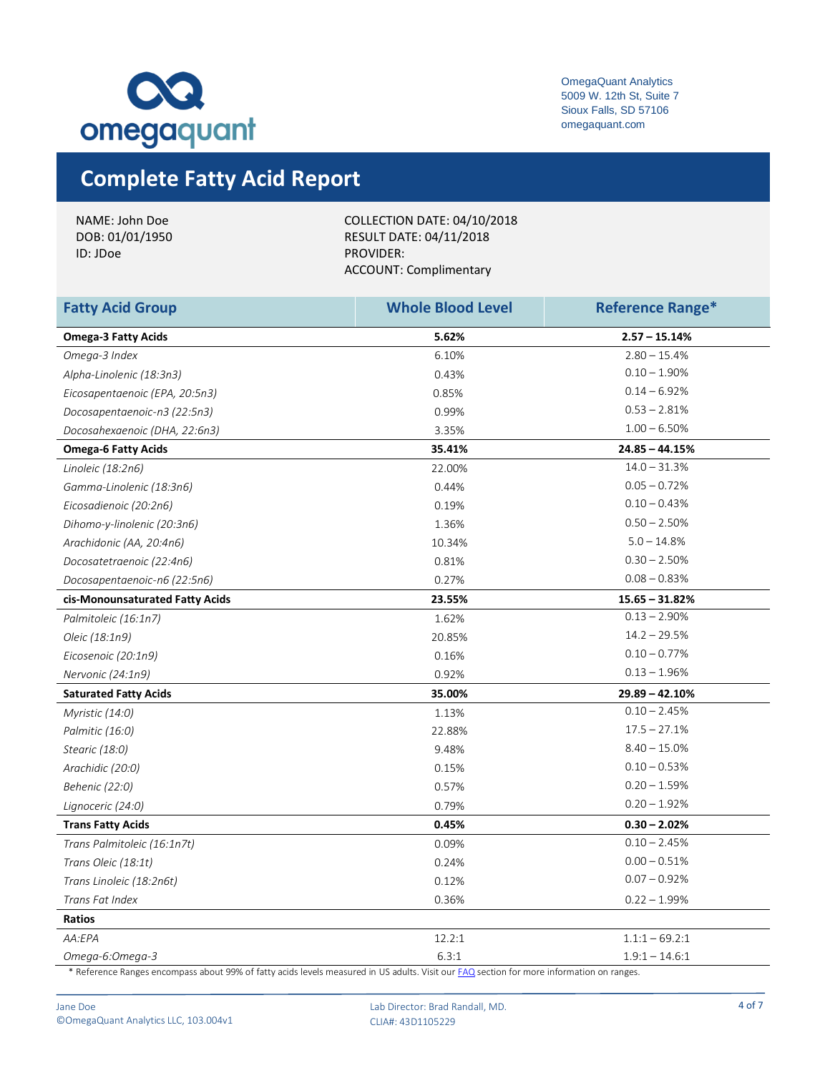

# **Complete Fatty Acid Report**

| NAME: John Doe  | COLLECTION DATE: 04/10/2018    |
|-----------------|--------------------------------|
| DOB: 01/01/1950 | <b>RESULT DATE: 04/11/2018</b> |
| ID: JDoe        | PROVIDER:                      |
|                 | ACCOUNT: Complimentary         |
|                 |                                |

| <b>Fatty Acid Group</b>         | <b>Whole Blood Level</b> | <b>Reference Range*</b> |
|---------------------------------|--------------------------|-------------------------|
| <b>Omega-3 Fatty Acids</b>      | 5.62%                    | $2.57 - 15.14%$         |
| Omega-3 Index                   | 6.10%                    | $2.80 - 15.4%$          |
| Alpha-Linolenic (18:3n3)        | 0.43%                    | $0.10 - 1.90\%$         |
| Eicosapentaenoic (EPA, 20:5n3)  | 0.85%                    | $0.14 - 6.92%$          |
| Docosapentaenoic-n3 (22:5n3)    | 0.99%                    | $0.53 - 2.81%$          |
| Docosahexaenoic (DHA, 22:6n3)   | 3.35%                    | $1.00 - 6.50%$          |
| <b>Omega-6 Fatty Acids</b>      | 35.41%                   | $24.85 - 44.15%$        |
| Linoleic (18:2n6)               | 22.00%                   | $14.0 - 31.3%$          |
| Gamma-Linolenic (18:3n6)        | 0.44%                    | $0.05 - 0.72%$          |
| Eicosadienoic (20:2n6)          | 0.19%                    | $0.10 - 0.43%$          |
| Dihomo-y-linolenic (20:3n6)     | 1.36%                    | $0.50 - 2.50%$          |
| Arachidonic (AA, 20:4n6)        | 10.34%                   | $5.0 - 14.8%$           |
| Docosatetraenoic (22:4n6)       | 0.81%                    | $0.30 - 2.50%$          |
| Docosapentaenoic-n6 (22:5n6)    | 0.27%                    | $0.08 - 0.83%$          |
| cis-Monounsaturated Fatty Acids | 23.55%                   | $15.65 - 31.82%$        |
| Palmitoleic (16:1n7)            | 1.62%                    | $0.13 - 2.90\%$         |
| Oleic (18:1n9)                  | 20.85%                   | $14.2 - 29.5%$          |
| Eicosenoic (20:1n9)             | 0.16%                    | $0.10 - 0.77%$          |
| Nervonic (24:1n9)               | 0.92%                    | $0.13 - 1.96%$          |
| <b>Saturated Fatty Acids</b>    | 35.00%                   | $29.89 - 42.10%$        |
| Myristic (14:0)                 | 1.13%                    | $0.10 - 2.45%$          |
| Palmitic (16:0)                 | 22.88%                   | $17.5 - 27.1%$          |
| Stearic (18:0)                  | 9.48%                    | $8.40 - 15.0%$          |
| Arachidic (20:0)                | 0.15%                    | $0.10 - 0.53%$          |
| Behenic (22:0)                  | 0.57%                    | $0.20 - 1.59%$          |
| Lignoceric (24:0)               | 0.79%                    | $0.20 - 1.92%$          |
| <b>Trans Fatty Acids</b>        | 0.45%                    | $0.30 - 2.02%$          |
| Trans Palmitoleic (16:1n7t)     | 0.09%                    | $0.10 - 2.45%$          |
| Trans Oleic (18:1t)             | 0.24%                    | $0.00 - 0.51%$          |
| Trans Linoleic (18:2n6t)        | 0.12%                    | $0.07 - 0.92%$          |
| Trans Fat Index                 | 0.36%                    | $0.22 - 1.99%$          |
| Ratios                          |                          |                         |
| AA:EPA                          | 12.2:1                   | $1.1:1 - 69.2:1$        |
| Omega-6:Omega-3                 | 6.3:1                    | $1.9:1 - 14.6:1$        |

\* Reference Ranges encompass about 99% of fatty acids levels measured in US adults. Visit ou[r FAQ](https://omegaquant.com/faq/) section for more information on ranges.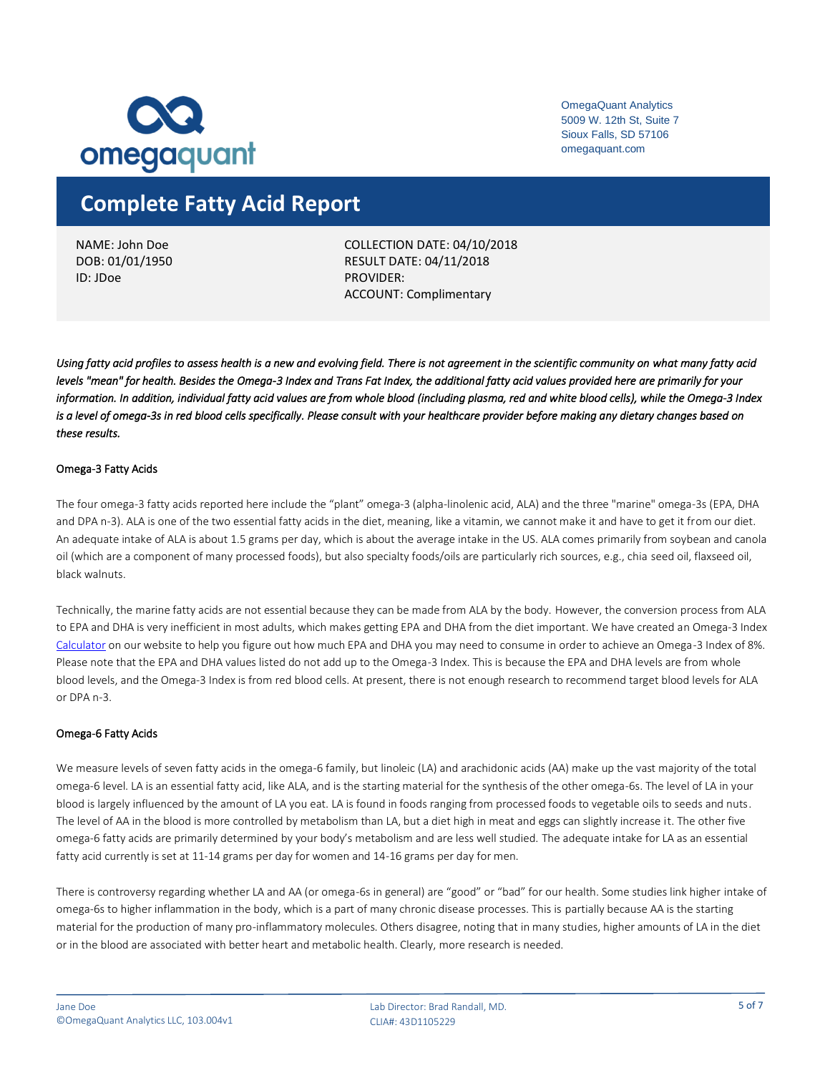

### **Complete Fatty Acid Report**

NAME: John Doe DOB: 01/01/1950 ID: JDoe

COLLECTION DATE: 04/10/2018 RESULT DATE: 04/11/2018 PROVIDER: ACCOUNT: Complimentary

*Using fatty acid profiles to assess health is a new and evolving field. There is not agreement in the scientific community on what many fatty acid levels "mean" for health. Besides the Omega-3 Index and Trans Fat Index, the additional fatty acid values provided here are primarily for your information. In addition, individual fatty acid values are from whole blood (including plasma, red and white blood cells), while the Omega-3 Index*  is a level of omega-3s in red blood cells specifically. Please consult with your healthcare provider before making any dietary changes based on *these results.* 

### Omega-3 Fatty Acids

The four omega-3 fatty acids reported here include the "plant" omega-3 (alpha-linolenic acid, ALA) and the three "marine" omega-3s (EPA, DHA and DPA n-3). ALA is one of the two essential fatty acids in the diet, meaning, like a vitamin, we cannot make it and have to get it from our diet. An adequate intake of ALA is about 1.5 grams per day, which is about the average intake in the US. ALA comes primarily from soybean and canola oil (which are a component of many processed foods), but also specialty foods/oils are particularly rich sources, e.g., chia seed oil, flaxseed oil, black walnuts.

Technically, the marine fatty acids are not essential because they can be made from ALA by the body. However, the conversion process from ALA to EPA and DHA is very inefficient in most adults, which makes getting EPA and DHA from the diet important. We have created an Omega-3 Index [Calculator](https://omegaquant.com/omega-3-calculator/) on our website to help you figure out how much EPA and DHA you may need to consume in order to achieve an Omega-3 Index of 8%. Please note that the EPA and DHA values listed do not add up to the Omega-3 Index. This is because the EPA and DHA levels are from whole blood levels, and the Omega-3 Index is from red blood cells. At present, there is not enough research to recommend target blood levels for ALA or DPA n-3.

#### Omega-6 Fatty Acids

We measure levels of seven fatty acids in the omega-6 family, but linoleic (LA) and arachidonic acids (AA) make up the vast majority of the total omega-6 level. LA is an essential fatty acid, like ALA, and is the starting material for the synthesis of the other omega-6s. The level of LA in your blood is largely influenced by the amount of LA you eat. LA is found in foods ranging from processed foods to vegetable oils to seeds and nuts. The level of AA in the blood is more controlled by metabolism than LA, but a diet high in meat and eggs can slightly increase it. The other five omega-6 fatty acids are primarily determined by your body's metabolism and are less well studied. The adequate intake for LA as an essential fatty acid currently is set at 11-14 grams per day for women and 14-16 grams per day for men.

There is controversy regarding whether LA and AA (or omega-6s in general) are "good" or "bad" for our health. Some studies link higher intake of omega-6s to higher inflammation in the body, which is a part of many chronic disease processes. This is partially because AA is the starting material for the production of many pro-inflammatory molecules. Others disagree, noting that in many studies, higher amounts of LA in the diet or in the blood are associated with better heart and metabolic health. Clearly, more research is needed.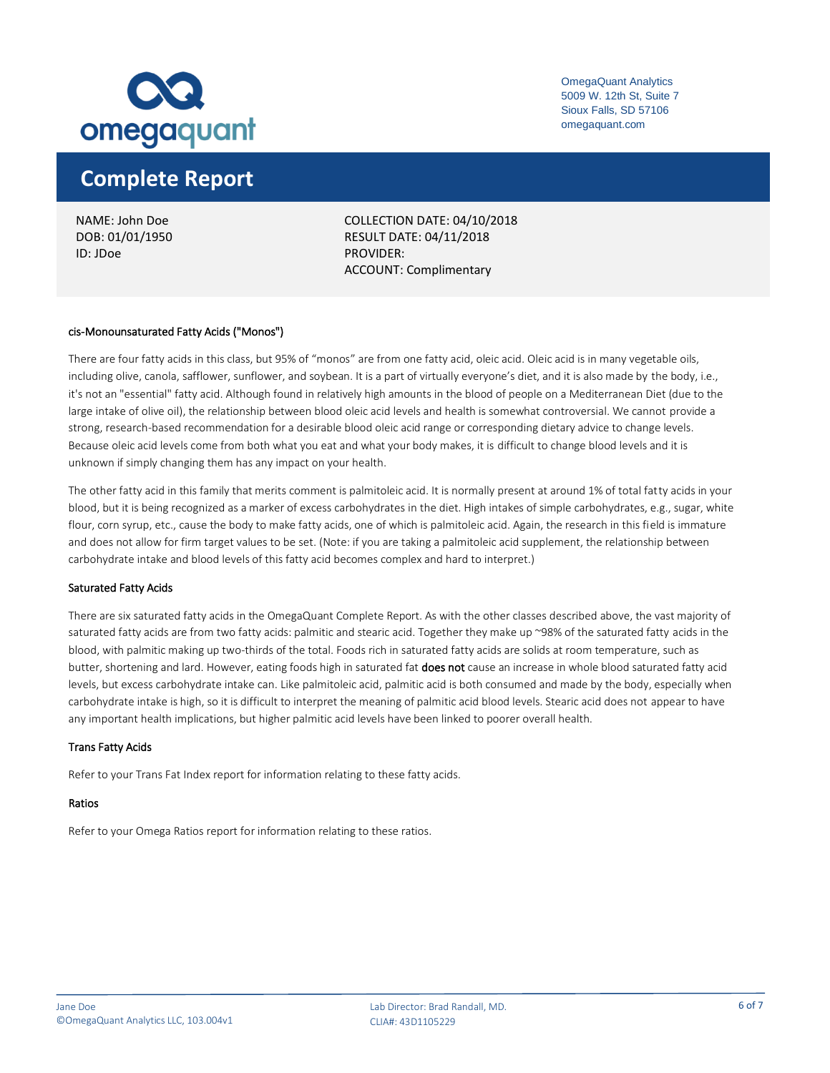

### **Complete Report**

NAME: John Doe DOB: 01/01/1950 ID: JDoe

COLLECTION DATE: 04/10/2018 RESULT DATE: 04/11/2018 PROVIDER: ACCOUNT: Complimentary

#### cis-Monounsaturated Fatty Acids ("Monos")

There are four fatty acids in this class, but 95% of "monos" are from one fatty acid, oleic acid. Oleic acid is in many vegetable oils, including olive, canola, safflower, sunflower, and soybean. It is a part of virtually everyone's diet, and it is also made by the body, i.e., it's not an "essential" fatty acid. Although found in relatively high amounts in the blood of people on a Mediterranean Diet (due to the large intake of olive oil), the relationship between blood oleic acid levels and health is somewhat controversial. We cannot provide a strong, research-based recommendation for a desirable blood oleic acid range or corresponding dietary advice to change levels. Because oleic acid levels come from both what you eat and what your body makes, it is difficult to change blood levels and it is unknown if simply changing them has any impact on your health.

The other fatty acid in this family that merits comment is palmitoleic acid. It is normally present at around 1% of total fatty acids in your blood, but it is being recognized as a marker of excess carbohydrates in the diet. High intakes of simple carbohydrates, e.g., sugar, white flour, corn syrup, etc., cause the body to make fatty acids, one of which is palmitoleic acid. Again, the research in this field is immature and does not allow for firm target values to be set. (Note: if you are taking a palmitoleic acid supplement, the relationship between carbohydrate intake and blood levels of this fatty acid becomes complex and hard to interpret.)

#### Saturated Fatty Acids

There are six saturated fatty acids in the OmegaQuant Complete Report. As with the other classes described above, the vast majority of saturated fatty acids are from two fatty acids: palmitic and stearic acid. Together they make up ~98% of the saturated fatty acids in the blood, with palmitic making up two-thirds of the total. Foods rich in saturated fatty acids are solids at room temperature, such as butter, shortening and lard. However, eating foods high in saturated fat does not cause an increase in whole blood saturated fatty acid levels, but excess carbohydrate intake can. Like palmitoleic acid, palmitic acid is both consumed and made by the body, especially when carbohydrate intake is high, so it is difficult to interpret the meaning of palmitic acid blood levels. Stearic acid does not appear to have any important health implications, but higher palmitic acid levels have been linked to poorer overall health.

#### Trans Fatty Acids

Refer to your Trans Fat Index report for information relating to these fatty acids.

### Ratios

Refer to your Omega Ratios report for information relating to these ratios.